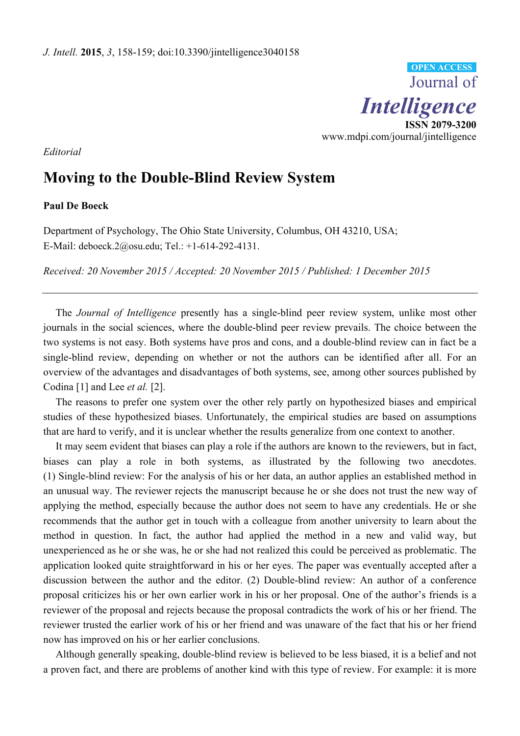

*Editorial*

## **Moving to the Double-Blind Review System**

## **Paul De Boeck**

Department of Psychology, The Ohio State University, Columbus, OH 43210, USA; E-Mail: deboeck.2@osu.edu; Tel.: +1-614-292-4131.

*Received: 20 November 2015 / Accepted: 20 November 2015 / Published: 1 December 2015* 

The *Journal of Intelligence* presently has a single-blind peer review system, unlike most other journals in the social sciences, where the double-blind peer review prevails. The choice between the two systems is not easy. Both systems have pros and cons, and a double-blind review can in fact be a single-blind review, depending on whether or not the authors can be identified after all. For an overview of the advantages and disadvantages of both systems, see, among other sources published by Codina [1] and Lee *et al.* [2].

The reasons to prefer one system over the other rely partly on hypothesized biases and empirical studies of these hypothesized biases. Unfortunately, the empirical studies are based on assumptions that are hard to verify, and it is unclear whether the results generalize from one context to another.

It may seem evident that biases can play a role if the authors are known to the reviewers, but in fact, biases can play a role in both systems, as illustrated by the following two anecdotes. (1) Single-blind review: For the analysis of his or her data, an author applies an established method in an unusual way. The reviewer rejects the manuscript because he or she does not trust the new way of applying the method, especially because the author does not seem to have any credentials. He or she recommends that the author get in touch with a colleague from another university to learn about the method in question. In fact, the author had applied the method in a new and valid way, but unexperienced as he or she was, he or she had not realized this could be perceived as problematic. The application looked quite straightforward in his or her eyes. The paper was eventually accepted after a discussion between the author and the editor. (2) Double-blind review: An author of a conference proposal criticizes his or her own earlier work in his or her proposal. One of the author's friends is a reviewer of the proposal and rejects because the proposal contradicts the work of his or her friend. The reviewer trusted the earlier work of his or her friend and was unaware of the fact that his or her friend now has improved on his or her earlier conclusions.

Although generally speaking, double-blind review is believed to be less biased, it is a belief and not a proven fact, and there are problems of another kind with this type of review. For example: it is more